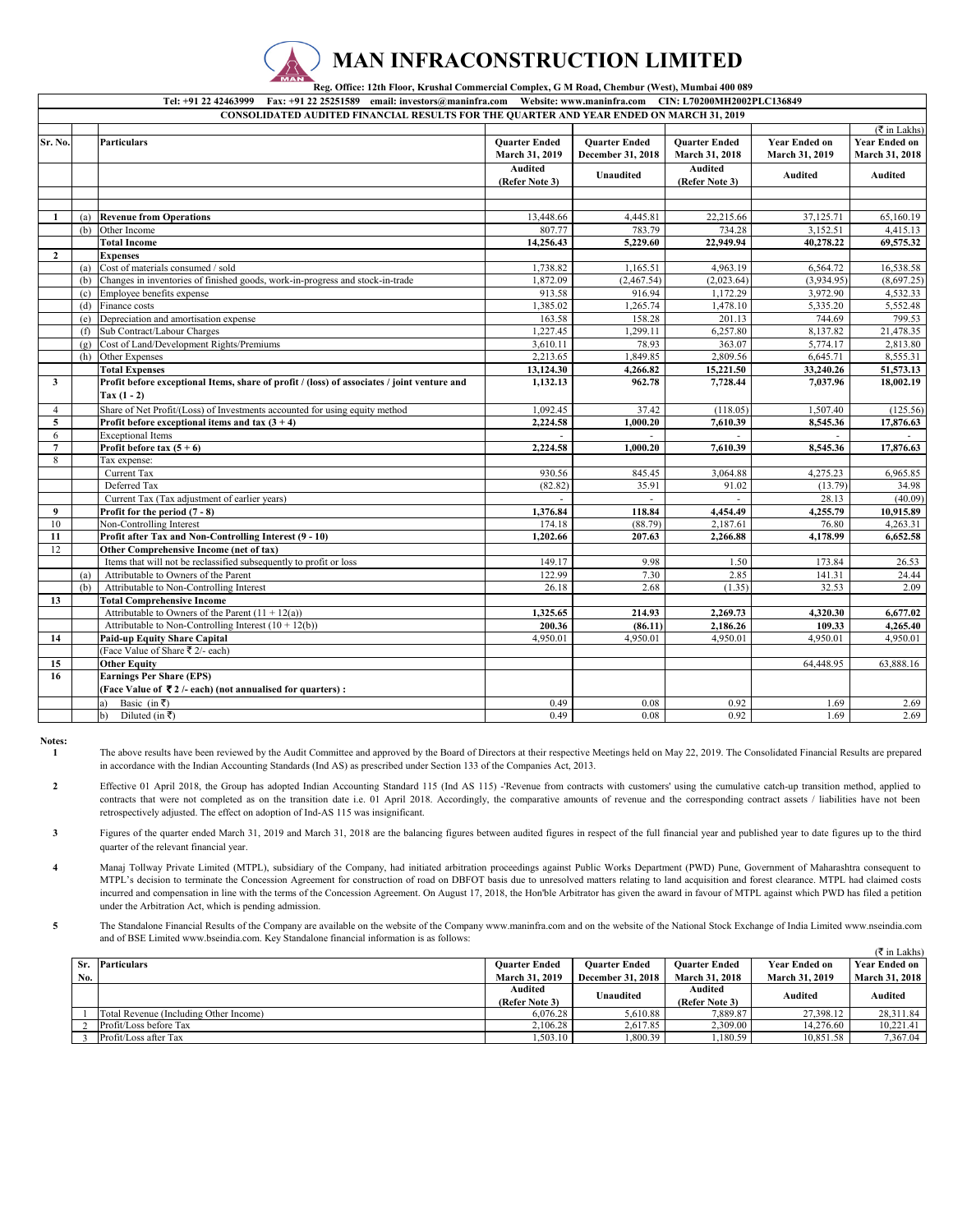

 **Reg. Office: 12th Floor, Krushal Commercial Complex, G M Road, Chembur (West), Mumbai 400 089 Tel: +91 22 42463999 Fax: +91 22 25251589 email: investors@maninfra.com Website: www.maninfra.com CIN: L70200MH2002PLC136849**

|                  | <b>CONSOLIDATED AUDITED FINANCIAL RESULTS FOR THE QUARTER AND YEAR ENDED ON MARCH 31, 2019</b> |                                                                                                              |                                        |                                           |                                        |                                        |                                        |  |
|------------------|------------------------------------------------------------------------------------------------|--------------------------------------------------------------------------------------------------------------|----------------------------------------|-------------------------------------------|----------------------------------------|----------------------------------------|----------------------------------------|--|
|                  |                                                                                                |                                                                                                              |                                        |                                           |                                        |                                        | $(\overline{\tau}$ in Lakhs)           |  |
| Sr. No.          |                                                                                                | Particulars                                                                                                  | <b>Ouarter Ended</b><br>March 31, 2019 | <b>Quarter Ended</b><br>December 31, 2018 | <b>Quarter Ended</b><br>March 31, 2018 | <b>Year Ended on</b><br>March 31, 2019 | <b>Year Ended on</b><br>March 31, 2018 |  |
|                  |                                                                                                |                                                                                                              | <b>Audited</b><br>(Refer Note 3)       | <b>Unaudited</b>                          | <b>Audited</b><br>(Refer Note 3)       | <b>Audited</b>                         | Audited                                |  |
|                  |                                                                                                |                                                                                                              |                                        |                                           |                                        |                                        |                                        |  |
|                  |                                                                                                |                                                                                                              |                                        |                                           |                                        |                                        |                                        |  |
|                  |                                                                                                | (a) Revenue from Operations                                                                                  | 13,448.66                              | 4,445.81                                  | 22,215.66                              | 37,125.71                              | 65,160.19                              |  |
|                  | (b)                                                                                            | Other Income                                                                                                 | 807.77                                 | 783.79                                    | 734.28                                 | 3,152.51                               | 4,415.13                               |  |
|                  |                                                                                                | <b>Total Income</b>                                                                                          | 14,256.43                              | 5,229.60                                  | 22,949.94                              | 40,278.22                              | 69,575.32                              |  |
| $\overline{2}$   |                                                                                                | <b>Expenses</b>                                                                                              |                                        |                                           |                                        |                                        |                                        |  |
|                  | (a)                                                                                            | Cost of materials consumed / sold                                                                            | 1,738.82                               | 1,165.51                                  | 4,963.19                               | 6,564.72                               | 16,538.58                              |  |
|                  | (b)                                                                                            | Changes in inventories of finished goods, work-in-progress and stock-in-trade                                | 1,872.09                               | (2,467.54)                                | (2,023.64)                             | (3,934.95)                             | (8,697.25)                             |  |
|                  | (c)                                                                                            | Employee benefits expense                                                                                    | 913.58                                 | 916.94                                    | 1,172.29                               | 3,972.90                               | 4,532.33                               |  |
|                  |                                                                                                | (d) Finance costs                                                                                            | 1,385.02                               | 1,265.74                                  | 1,478.10                               | 5,335.20                               | 5,552.48                               |  |
|                  | (e)                                                                                            | Depreciation and amortisation expense                                                                        | 163.58                                 | 158.28                                    | 201.13                                 | 744.69                                 | 799.53                                 |  |
|                  | (f)                                                                                            | Sub Contract/Labour Charges                                                                                  | 1,227.45                               | 1,299.11                                  | 6,257.80                               | 8,137.82                               | 21,478.35                              |  |
|                  | (g)                                                                                            | Cost of Land/Development Rights/Premiums                                                                     | 3,610.11                               | 78.93                                     | 363.07                                 | 5,774.17                               | 2,813.80                               |  |
|                  | (h)                                                                                            | Other Expenses                                                                                               | 2,213.65                               | 1,849.85                                  | 2,809.56                               | 6,645.71                               | 8,555.31                               |  |
|                  |                                                                                                | <b>Total Expenses</b>                                                                                        | 13,124.30                              | 4,266.82                                  | 15,221.50                              | 33,240.26                              | 51,573.13                              |  |
| $\mathbf{3}$     |                                                                                                | Profit before exceptional Items, share of profit / (loss) of associates / joint venture and<br>$Tax (1 - 2)$ | 1,132.13                               | 962.78                                    | 7,728.44                               | 7,037.96                               | 18,002.19                              |  |
| $\overline{4}$   |                                                                                                | Share of Net Profit/(Loss) of Investments accounted for using equity method                                  | 1,092.45                               | 37.42                                     | (118.05)                               | 1,507.40                               | (125.56)                               |  |
| 5                |                                                                                                | Profit before exceptional items and tax $(3 + 4)$                                                            | 2,224.58                               | 1,000.20                                  | 7,610.39                               | 8,545.36                               | 17,876.63                              |  |
| 6                |                                                                                                | <b>Exceptional Items</b>                                                                                     | $\sim$                                 | ÷.                                        | ÷                                      | $\sim$                                 |                                        |  |
| $\overline{7}$   |                                                                                                | Profit before tax $(5 + 6)$                                                                                  | 2,224.58                               | 1,000.20                                  | 7,610.39                               | 8,545.36                               | 17,876.63                              |  |
| 8                |                                                                                                | Tax expense:                                                                                                 |                                        |                                           |                                        |                                        |                                        |  |
|                  |                                                                                                | Current Tax                                                                                                  | 930.56                                 | 845.45                                    | 3,064.88                               | 4,275.23                               | 6,965.85                               |  |
|                  |                                                                                                | Deferred Tax                                                                                                 | (82.82)                                | 35.91                                     | 91.02                                  | (13.79)                                | 34.98                                  |  |
|                  |                                                                                                | Current Tax (Tax adjustment of earlier years)                                                                |                                        |                                           |                                        | 28.13                                  | (40.09)                                |  |
| $\boldsymbol{9}$ |                                                                                                | Profit for the period $(7 - 8)$                                                                              | 1,376.84                               | 118.84                                    | 4,454.49                               | 4,255.79                               | 10,915.89                              |  |
| 10               |                                                                                                | Non-Controlling Interest                                                                                     | 174.18                                 | (88.79)                                   | 2,187.61                               | 76.80                                  | 4,263.31                               |  |
| 11               |                                                                                                | Profit after Tax and Non-Controlling Interest (9 - 10)                                                       | 1,202.66                               | 207.63                                    | 2,266.88                               | 4,178.99                               | 6,652.58                               |  |
| 12               |                                                                                                | Other Comprehensive Income (net of tax)                                                                      |                                        |                                           |                                        |                                        |                                        |  |
|                  |                                                                                                | Items that will not be reclassified subsequently to profit or loss                                           | 149.17                                 | 9.98                                      | 1.50                                   | 173.84                                 | 26.53                                  |  |
|                  | (a)                                                                                            | Attributable to Owners of the Parent                                                                         | 122.99                                 | 7.30                                      | 2.85                                   | 141.31                                 | 24.44                                  |  |
|                  | (b)                                                                                            | Attributable to Non-Controlling Interest                                                                     | 26.18                                  | 2.68                                      | (1.35)                                 | 32.53                                  | 2.09                                   |  |
| 13               |                                                                                                | <b>Total Comprehensive Income</b>                                                                            |                                        |                                           |                                        |                                        |                                        |  |
|                  |                                                                                                | Attributable to Owners of the Parent $(11 + 12(a))$                                                          | 1,325.65                               | 214.93                                    | 2,269.73                               | 4,320.30                               | 6,677.02                               |  |
|                  |                                                                                                | Attributable to Non-Controlling Interest $(10 + 12(b))$                                                      | 200.36                                 | (86.11)                                   | 2,186.26                               | 109.33                                 | 4,265.40                               |  |
| 14               |                                                                                                | Paid-up Equity Share Capital                                                                                 | 4,950.01                               | 4,950.01                                  | 4,950.01                               | 4,950.01                               | 4,950.01                               |  |
|                  |                                                                                                | (Face Value of Share ₹ 2/- each)                                                                             |                                        |                                           |                                        |                                        |                                        |  |
| 15               |                                                                                                | <b>Other Equity</b>                                                                                          |                                        |                                           |                                        | 64,448.95                              | 63,888.16                              |  |
| 16               |                                                                                                | <b>Earnings Per Share (EPS)</b>                                                                              |                                        |                                           |                                        |                                        |                                        |  |
|                  |                                                                                                | (Face Value of ₹2/- each) (not annualised for quarters) :                                                    |                                        |                                           |                                        |                                        |                                        |  |
|                  |                                                                                                | Basic (in ₹)<br>a)                                                                                           | 0.49                                   | 0.08                                      | 0.92                                   | 1.69                                   | 2.69                                   |  |
|                  |                                                                                                | b)<br>Diluted (in ₹)                                                                                         | 0.49                                   | 0.08                                      | 0.92                                   | 1.69                                   | 2.69                                   |  |

**Notes:**

**1** The above results have been reviewed by the Audit Committee and approved by the Board of Directors at their respective Meetings held on May 22, 2019. The Consolidated Financial Results are prepared in accordance with the Indian Accounting Standards (Ind AS) as prescribed under Section 133 of the Companies Act, 2013.

**2** Effective 01 April 2018, the Group has adopted Indian Accounting Standard 115 (Ind AS 115) -'Revenue from contracts with customers' using the cumulative catch-up transition method, applied to contracts that were not completed as on the transition date i.e. 01 April 2018. Accordingly, the comparative amounts of revenue and the corresponding contract assets / liabilities have not been retrospectively adjusted. The effect on adoption of Ind-AS 115 was insignificant.

**3** Figures of the quarter ended March 31, 2019 and March 31, 2018 are the balancing figures between audited figures in respect of the full financial year and published year to date figures up to the third quarter of the relevant financial year.

**4** Manaj Tollway Private Limited (MTPL), subsidiary of the Company, had initiated arbitration proceedings against Public Works Department (PWD) Pune, Government of Maharashtra consequent to MTPL's decision to terminate the Concession Agreement for construction of road on DBFOT basis due to unresolved matters relating to land acquisition and forest clearance. MTPL had claimed costs incurred and compensation in line with the terms of the Concession Agreement. On August 17, 2018, the Hon'ble Arbitrator has given the award in favour of MTPL against which PWD has filed a petition under the Arbitration Act, which is pending admission.

**5** The Standalone Financial Results of the Company are available on the website of the Company www.maninfra.com and on the website of the National Stock Exchange of India Limited www.nseindia.com and of BSE Limited www.bseindia.com. Key Standalone financial information is as follows:

|     |                                        |                       |                          |                       |                       | $(\overline{\mathfrak{F}}$ in Lakhs) |
|-----|----------------------------------------|-----------------------|--------------------------|-----------------------|-----------------------|--------------------------------------|
|     | Sr. Particulars                        | <b>Ouarter Ended</b>  | <b>Ouarter Ended</b>     | <b>Ouarter Ended</b>  | <b>Year Ended on</b>  | <b>Year Ended on</b>                 |
| No. |                                        | <b>March 31, 2019</b> | <b>December 31, 2018</b> | <b>March 31, 2018</b> | <b>March 31, 2019</b> | <b>March 31, 2018</b>                |
|     |                                        | Audited               | Unaudited                | Audited               | Audited               | Audited                              |
|     |                                        | (Refer Note 3)        |                          | (Refer Note 3)        |                       |                                      |
|     | Total Revenue (Including Other Income) | 6.076.28              | 5,610.88                 | 7,889.87              | 27.398.12             | 28.311.84                            |
|     | Profit/Loss before Tax                 | 2,106.28              | 2,617.85                 | 2,309.00              | 14.276.60             | 10.221.41                            |
|     | Profit/Loss after Tax                  | .503.10               | 1,800.39                 | .180.59               | 10.851.58             | 7.367.04                             |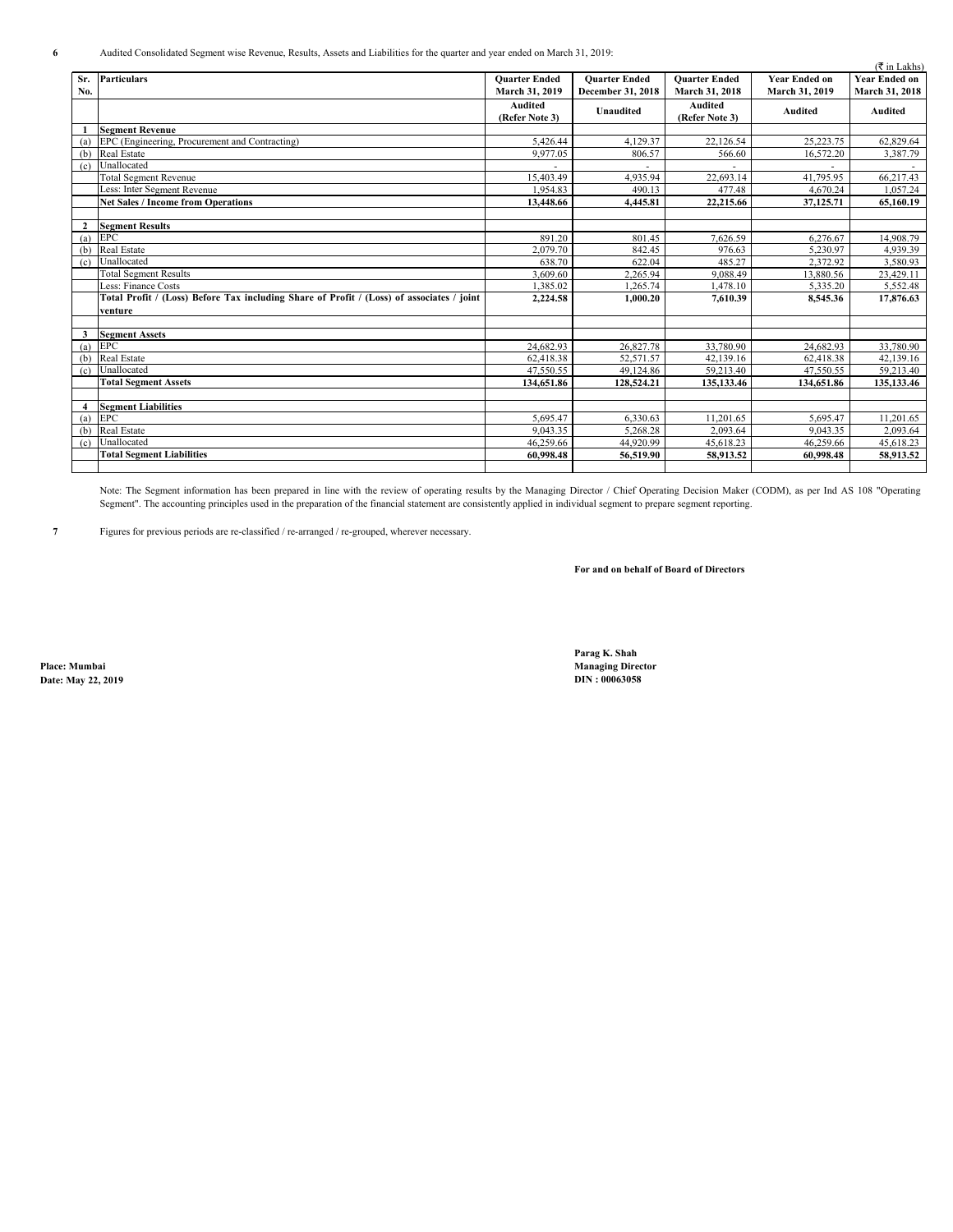|                | $($ ₹ in Lakhs)                                                                           |                           |                      |                                  |                      |                       |  |
|----------------|-------------------------------------------------------------------------------------------|---------------------------|----------------------|----------------------------------|----------------------|-----------------------|--|
| Sr.            | <b>Particulars</b>                                                                        | <b>Ouarter Ended</b>      | <b>Ouarter Ended</b> | <b>Ouarter Ended</b>             | <b>Year Ended on</b> | <b>Year Ended on</b>  |  |
| No.            |                                                                                           | March 31, 2019            | December 31, 2018    | March 31, 2018                   | March 31, 2019       | <b>March 31, 2018</b> |  |
|                |                                                                                           | Audited<br>(Refer Note 3) | <b>Unaudited</b>     | <b>Audited</b><br>(Refer Note 3) | <b>Audited</b>       | <b>Audited</b>        |  |
|                | <b>Segment Revenue</b>                                                                    |                           |                      |                                  |                      |                       |  |
| (a)            | EPC (Engineering, Procurement and Contracting)                                            | 5,426.44                  | 4.129.37             | 22,126.54                        | 25,223.75            | 62,829.64             |  |
| (b)            | Real Estate                                                                               | 9,977.05                  | 806.57               | 566.60                           | 16,572.20            | 3,387.79              |  |
| (c)            | Unallocated                                                                               |                           |                      |                                  |                      |                       |  |
|                | <b>Total Segment Revenue</b>                                                              | 15.403.49                 | 4.935.94             | 22,693.14                        | 41.795.95            | 66,217.43             |  |
|                | Less: Inter Segment Revenue                                                               | 1.954.83                  | 490.13               | 477.48                           | 4.670.24             | 1.057.24              |  |
|                | <b>Net Sales / Income from Operations</b>                                                 | 13,448.66                 | 4,445.81             | 22,215.66                        | 37,125.71            | 65,160.19             |  |
|                |                                                                                           |                           |                      |                                  |                      |                       |  |
| $\overline{2}$ | <b>Segment Results</b>                                                                    |                           |                      |                                  |                      |                       |  |
| (a)            | <b>EPC</b>                                                                                | 891.20                    | 801.45               | 7.626.59                         | 6,276.67             | 14,908.79             |  |
| (b)            | <b>Real Estate</b>                                                                        | 2.079.70                  | 842.45               | 976.63                           | 5.230.97             | 4.939.39              |  |
| (c)            | Unallocated                                                                               | 638.70                    | 622.04               | 485.27                           | 2.372.92             | 3.580.93              |  |
|                | <b>Total Segment Results</b>                                                              | 3,609.60                  | 2,265.94             | 9,088.49                         | 13,880.56            | 23,429.11             |  |
|                | Less: Finance Costs                                                                       | 1.385.02                  | 1.265.74             | 1.478.10                         | 5,335.20             | 5,552.48              |  |
|                | Total Profit / (Loss) Before Tax including Share of Profit / (Loss) of associates / joint | 2,224.58                  | 1.000.20             | 7.610.39                         | 8,545.36             | 17,876.63             |  |
|                | venture                                                                                   |                           |                      |                                  |                      |                       |  |
|                |                                                                                           |                           |                      |                                  |                      |                       |  |
| 3              | <b>Segment Assets</b>                                                                     |                           |                      |                                  |                      |                       |  |
| (a)            | EPC                                                                                       | 24,682.93                 | 26,827.78            | 33,780.90                        | 24,682.93            | 33,780.90             |  |
| (b)            | <b>Real Estate</b>                                                                        | 62,418.38                 | 52,571.57            | 42,139.16                        | 62,418.38            | 42,139.16             |  |
| (c)            | Unallocated                                                                               | 47.550.55                 | 49,124.86            | 59,213.40                        | 47.550.55            | 59,213.40             |  |
|                | <b>Total Segment Assets</b>                                                               | 134,651.86                | 128,524.21           | 135,133.46                       | 134,651.86           | 135,133.46            |  |
|                |                                                                                           |                           |                      |                                  |                      |                       |  |
| $\overline{4}$ | <b>Segment Liabilities</b>                                                                |                           |                      |                                  |                      |                       |  |
|                | $(a)$ EPC                                                                                 | 5.695.47                  | 6,330.63             | 11.201.65                        | 5.695.47             | 11.201.65             |  |
| (b)            | Real Estate                                                                               | 9.043.35                  | 5,268.28             | 2,093.64                         | 9,043.35             | 2,093.64              |  |
| (c)            | Unallocated                                                                               | 46.259.66                 | 44.920.99            | 45.618.23                        | 46.259.66            | 45,618.23             |  |
|                | <b>Total Segment Liabilities</b>                                                          | 60,998.48                 | 56,519.90            | 58,913.52                        | 60,998.48            | 58,913.52             |  |
|                |                                                                                           |                           |                      |                                  |                      |                       |  |

Note: The Segment information has been prepared in line with the review of operating results by the Managing Director / Chief Operating Decision Maker (CODM), as per Ind AS 108 "Operating Segment". The accounting principles used in the preparation of the financial statement are consistently applied in individual segment to prepare segment reporting.

**7** Figures for previous periods are re-classified / re-arranged / re-grouped, wherever necessary.

**For and on behalf of Board of Directors**

**Date: May 22, 2019** 

**Parag K. Shah Place: Mumbai Managing Director**